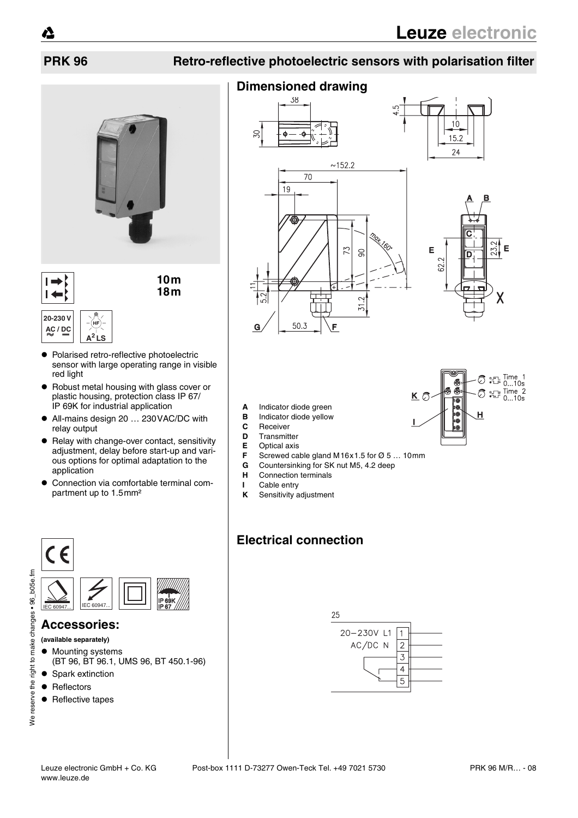# **PRK 96 Retro-reflective photoelectric sensors with polarisation filter**



**10m 18m**

#### **20-230 V AC / DC A2 LS**

 $\blacksquare$ 

- $\bullet$  Polarised retro-reflective photoelectric sensor with large operating range in visible red light
- Robust metal housing with glass cover or plastic housing, protection class IP 67/ IP 69K for industrial application
- All-mains design 20 ... 230 VAC/DC with relay output
- Relay with change-over contact, sensitivity adjustment, delay before start-up and various options for optimal adaptation to the application
- Connection via comfortable terminal compartment up to 1.5mm²

## **Dimensioned drawing**





 $K$   $\bar{C}$ 

10800

Н

⑦ <sub>江</sub> Time 1<br>① 江 0...10s  $\circled{}$   $\circ$   $\frac{1}{2}$  Time 2

 $0...10s$ 

- **A** Indicator diode green
- **B** Indicator diode yellow<br>**C** Beceiver
- **C** Receiver
- **D** Transmitter<br>**E** Optical axis
- **E** Optical axis<br>**F** Screwed ca
- **F** Screwed cable gland M16x1.5 for Ø 5 ... 10mm<br>**G** Countersinking for SK nut M5, 4.2 deep
- **G** Countersinking for SK nut M5, 4.2 deep<br>**H** Connection terminals
- **Connection terminals**
- **I** Cable entry
- **K** Sensitivity adjustment

# **Electrical connection**



#### **Accessories:**

- **(available separately)**
- Mounting systems
- (BT 96, BT 96.1, UMS 96, BT 450.1-96)
- Spark extinction
- $\bullet$  Reflectors
- $\bullet$  Reflective tapes





# We reserve the right to make changes . 96\_b05e.fm We reserve the right to make changes • 96\_b05e.fm